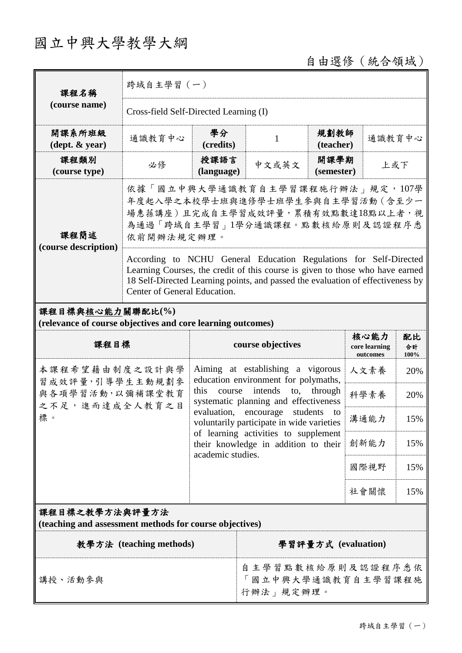# 國立中興大學教學大綱

自由選修(統合領域)

| 課程名稱<br>(course name)                                                           | 跨域自主學習 (一)                                                                                                                                                                                                                                                            |                                                                                                                                                                                                                                                                                      |                                                     |                                   |                     |        |  |
|---------------------------------------------------------------------------------|-----------------------------------------------------------------------------------------------------------------------------------------------------------------------------------------------------------------------------------------------------------------------|--------------------------------------------------------------------------------------------------------------------------------------------------------------------------------------------------------------------------------------------------------------------------------------|-----------------------------------------------------|-----------------------------------|---------------------|--------|--|
|                                                                                 | Cross-field Self-Directed Learning (I)                                                                                                                                                                                                                                |                                                                                                                                                                                                                                                                                      |                                                     |                                   |                     |        |  |
| 開課系所班級<br>$(\text{dept.} \& \text{ year})$                                      | 通識教育中心                                                                                                                                                                                                                                                                | 學分<br>(credits)                                                                                                                                                                                                                                                                      | 1                                                   | 規劃教師<br>(teacher)                 |                     | 通識教育中心 |  |
| 課程類別<br>(course type)                                                           | 必修                                                                                                                                                                                                                                                                    | 授課語言<br>(language)                                                                                                                                                                                                                                                                   | 中文或英文                                               | 開課學期<br>(semester)                |                     | 上或下    |  |
| 課程簡述<br>(course description)                                                    | 依據「國立中興大學通識教育自主學習課程施行辦法」規定,107學<br>年度起入學之本校學士班與進修學士班學生參與自主學習活動(含至少一<br>場惠蓀講座)且完成自主學習成效評量,累積有效點數達18點以上者,視<br>為通過「跨域自主學習」1學分通識課程。點數核給原則及認證程序悉<br>依前開辦法規定辦理。                                                                                                             |                                                                                                                                                                                                                                                                                      |                                                     |                                   |                     |        |  |
|                                                                                 | According to NCHU General Education Regulations for Self-Directed<br>Learning Courses, the credit of this course is given to those who have earned<br>18 Self-Directed Learning points, and passed the evaluation of effectiveness by<br>Center of General Education. |                                                                                                                                                                                                                                                                                      |                                                     |                                   |                     |        |  |
| 課程目標與核心能力關聯配比(%)<br>(relevance of course objectives and core learning outcomes) |                                                                                                                                                                                                                                                                       |                                                                                                                                                                                                                                                                                      |                                                     |                                   |                     |        |  |
| 課程目標                                                                            |                                                                                                                                                                                                                                                                       | course objectives                                                                                                                                                                                                                                                                    |                                                     | 核心能力<br>core learning<br>outcomes | 配比<br>合計<br>$100\%$ |        |  |
| 本課程希望藉由制度之設計與學<br>習成效評量,引導學生主動規劃參<br>與各項學習活動,以彌補課堂教育<br>之不足,進而達成全人教育之目<br>標。    |                                                                                                                                                                                                                                                                       | Aiming at establishing a vigorous<br>education environment for polymaths,                                                                                                                                                                                                            |                                                     | 人文素養                              | 20%                 |        |  |
|                                                                                 |                                                                                                                                                                                                                                                                       | this<br>intends<br>through<br>course<br>to,<br>systematic planning and effectiveness<br>evaluation,<br>encourage<br>students<br>to<br>voluntarily participate in wide varieties<br>of learning activities to supplement<br>their knowledge in addition to their<br>academic studies. |                                                     |                                   | 科學素養                | 20%    |  |
|                                                                                 |                                                                                                                                                                                                                                                                       |                                                                                                                                                                                                                                                                                      |                                                     |                                   | 溝通能力                | 15%    |  |
|                                                                                 |                                                                                                                                                                                                                                                                       |                                                                                                                                                                                                                                                                                      |                                                     |                                   | 創新能力                | 15%    |  |
|                                                                                 |                                                                                                                                                                                                                                                                       |                                                                                                                                                                                                                                                                                      |                                                     |                                   | 國際視野                | 15%    |  |
|                                                                                 |                                                                                                                                                                                                                                                                       |                                                                                                                                                                                                                                                                                      |                                                     |                                   | 社會關懷                | 15%    |  |
| 課程目標之教學方法與評量方法<br>(teaching and assessment methods for course objectives)       |                                                                                                                                                                                                                                                                       |                                                                                                                                                                                                                                                                                      |                                                     |                                   |                     |        |  |
| 教學方法 (teaching methods)                                                         |                                                                                                                                                                                                                                                                       |                                                                                                                                                                                                                                                                                      | 學習評量方式 (evaluation)                                 |                                   |                     |        |  |
| 講授、活動參與                                                                         |                                                                                                                                                                                                                                                                       |                                                                                                                                                                                                                                                                                      | 自主學習點數核給原則及認證程序悉依<br>國立中興大學通識教育自主學習課程施<br>行辦法」規定辦理。 |                                   |                     |        |  |